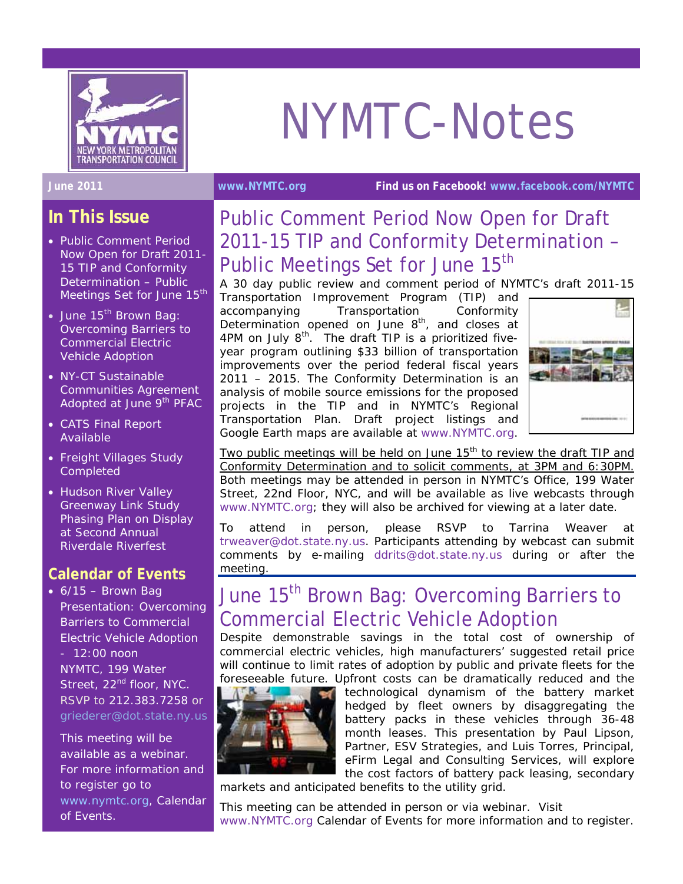

# NYMTC-Notes

**June 2011 [www.NYMTC.org](http://www.nymtc.org/) Find us on Facebook! [www.facebook.com/NYMTC](http://www.facebook.com/NYMTC)**

**In This Issue** 

- Public Comment Period Now Open for Draft 2011- 15 TIP and Conformity Determination – Public Meetings Set for June 15<sup>th</sup>
- June 15<sup>th</sup> Brown Bag: Overcoming Barriers to Commercial Electric Vehicle Adoption
- NY-CT Sustainable Communities Agreement Adopted at June 9<sup>th</sup> PFAC
- CATS Final Report Available
- Freight Villages Study **Completed**
- *Hudson River Valley Greenway Link Study* Phasing Plan on Display at Second Annual Riverdale Riverfest

#### **Calendar of Events**

 $\bullet$  6/15 – Brown Bag Presentation: Overcoming Barriers to Commercial Electric Vehicle Adoption - 12:00 noon NYMTC, 199 Water Street, 22<sup>nd</sup> floor, NYC. RSVP to 212.383.7258 or griederer@dot.state.ny.us

This meeting will be available as a webinar. For more information and to register go to [www.nymtc.org,](http://www.nymtc.org/) Calendar of Events.

## Public Comment Period Now Open for Draft 2011-15 TIP and Conformity Determination – Public Meetings Set for June 15<sup>th</sup>

A 30 day public review and comment period of NYMTC's draft 2011-15 Transportation Improvement Program (TIP) and accompanying Transportation Conformity Determination opened on June  $8<sup>th</sup>$ , and closes at 4PM on July  $8<sup>th</sup>$ . The draft TIP is a prioritized fiveyear program outlining \$33 billion of transportation improvements over the period federal fiscal years 2011 – 2015. The Conformity Determination is an analysis of mobile source emissions for the proposed projects in the TIP and in NYMTC's Regional Transportation Plan. Draft project listings and Google Earth maps are available at [www.NYMTC.org](http://www.nymtc.org/).



*Two public meetings will be held on June 15<sup>th</sup> to review the draft TIP and Conformity Determination and to solicit comments, at 3PM and 6:30PM.* Both meetings may be attended in person in NYMTC's Office, 199 Water Street, 22nd Floor, NYC, and will be available as live webcasts through [www.NYMTC.org;](http://www.nymtc.org/) they will also be archived for viewing at a later date.

To attend in person, please RSVP to Tarrina Weaver at [trweaver@dot.state.ny.us.](mailto:trweaver@dot.state.ny.us) Participants attending by webcast can submit comments by e-mailing [ddrits@dot.state.ny.us](mailto:ddrits@dot.state.ny.us) during or after the meeting.

# June 15<sup>th</sup> Brown Bag: Overcoming Barriers to Commercial Electric Vehicle Adoption

Despite demonstrable savings in the total cost of ownership of commercial electric vehicles, high manufacturers' suggested retail price will continue to limit rates of adoption by public and private fleets for the [foreseeable future.](http://green.autoblog.com/2011/05/26/lithium-detractor-says-li-ion-batteries-wont-be-recycled/) Upfront costs can be dramatically reduced and the



technological dynamism of the battery market hedged by fleet owners by disaggregating the battery packs in these vehicles through 36-48 month leases. This presentation by Paul Lipson, Partner, ESV Strategies, and Luis Torres, Principal, eFirm Legal and Consulting Services, will explore the cost factors of battery pack leasing, secondary

markets and anticipated benefits to the utility grid.

This meeting can be attended in person or via webinar. Visit [www.NYMTC.org](http://www.nymtc.org/) Calendar of Events for more information and to register.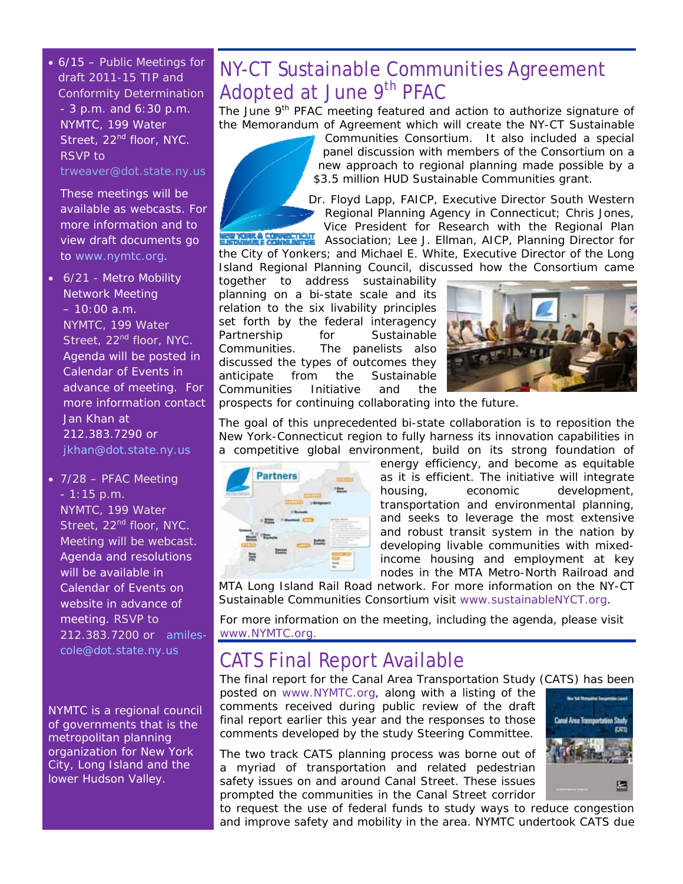• 6/15 – Public Meetings for draft 2011-15 TIP and Conformity Determination - 3 p.m. and 6:30 p.m. NYMTC, 199 Water Street, 22<sup>nd</sup> floor, NYC. RSVP to trweaver@dot.state.ny.us

These meetings will be available as webcasts. For more information and to view draft documents go to [www.nymtc.org.](http://www.nymtc.org/)

- 6/21 Metro Mobility Network Meeting  $-10:00$  a.m. NYMTC, 199 Water Street, 22<sup>nd</sup> floor, NYC. Agenda will be posted in Calendar of Events in advance of meeting. For more information contact Jan Khan at 212.383.7290 or [jkhan@dot.state.ny.us](mailto:jkhan@dot.state.ny.us)
- 7/28 PFAC Meeting - 1:15 p.m. NYMTC, 199 Water Street, 22<sup>nd</sup> floor, NYC. Meeting will be webcast. Agenda and resolutions will be available in Calendar of Events on website in advance of meeting. RSVP to 212.383.7200 or [amiles](mailto:amiles-cole@dot.state.ny.us)[cole@dot.state.ny.us](mailto:amiles-cole@dot.state.ny.us)

NYMTC is a regional council of governments that is the metropolitan planning organization for New York City, Long Island and the lower Hudson Valley.

## NY-CT Sustainable Communities Agreement Adopted at June 9<sup>th</sup> PFAC

The June 9<sup>th</sup> PFAC meeting featured and action to authorize signature of the Memorandum of Agreement which will create the NY-CT Sustainable



Communities Consortium. It also included a special panel discussion with members of the Consortium on a new approach to regional planning made possible by a \$3.5 million HUD Sustainable Communities grant.

Dr. Floyd Lapp, FAICP, Executive Director South Western Regional Planning Agency in Connecticut; Chris Jones,

Vice President for Research with the Regional Plan COMMENTION Association; Lee J. Ellman, AICP, Planning Director for the City of Yonkers; and Michael E. White, Executive Director of the Long Island Regional Planning Council, discussed how the Consortium came

together to address sustainability planning on a bi-state scale and its relation to the six livability principles set forth by the federal interagency Partnership for Sustainable Communities. The panelists also discussed the types of outcomes they anticipate from the Sustainable Communities Initiative and the



prospects for continuing collaborating into the future.

The goal of this unprecedented bi-state collaboration is to reposition the New York-Connecticut region to fully harness its innovation capabilities in a competitive global environment, build on its strong foundation of



energy efficiency, and become as equitable as it is efficient. The initiative will integrate housing, economic development, transportation and environmental planning, and seeks to leverage the most extensive and robust transit system in the nation by developing livable communities with mixedincome housing and employment at key nodes in the MTA Metro-North Railroad and

MTA Long Island Rail Road network. For more information on the NY-CT Sustainable Communities Consortium visit [www.sustainableNYCT.org](http://www.sustainablenyct.org/).

For more information on the meeting, including the agenda, please visit [www.NYMTC.org.](http://www.nymtc.org/)

## CATS Final Report Available

The final report for the Canal Area Transportation Study (CATS) has been

posted on [www.NYMTC.org,](http://www.nymtc.org/) along with a listing of the comments received during public review of the draft final report earlier this year and the responses to those comments developed by the study Steering Committee.

The two track CATS planning process was borne out of a myriad of transportation and related pedestrian safety issues on and around Canal Street. These issues prompted the communities in the Canal Street corridor



to request the use of federal funds to study ways to reduce congestion and improve safety and mobility in the area. NYMTC undertook CATS due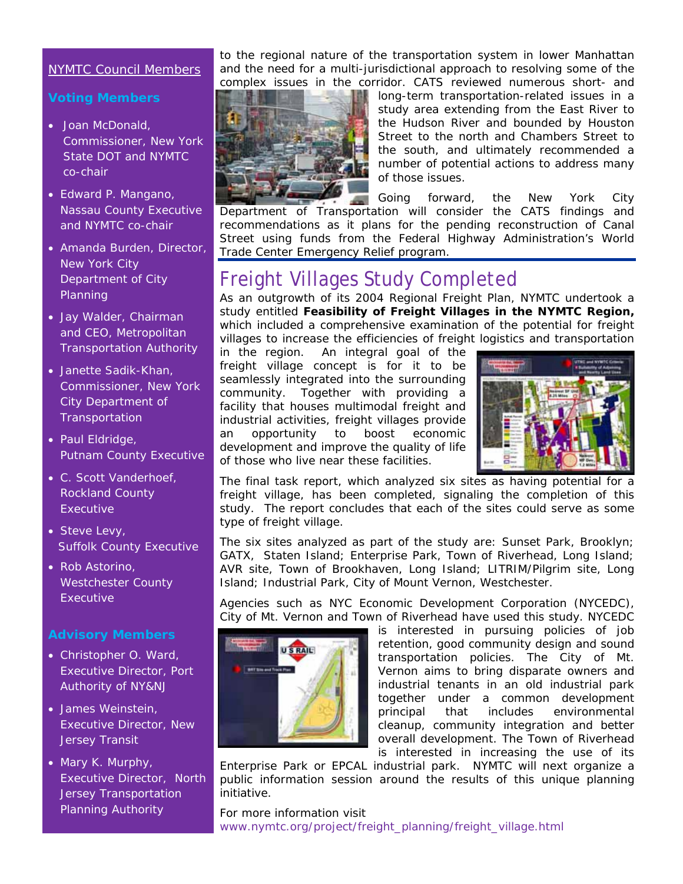#### NYMTC Council Members

#### **Voting Members**

- Joan McDonald, Commissioner, New York State DOT and NYMTC co-chair
- Edward P. Mangano, Nassau County Executive and NYMTC co-chair
- Amanda Burden, Director, New York City Department of City Planning
- Jay Walder, Chairman and CEO, Metropolitan Transportation Authority
- Janette Sadik-Khan, Commissioner, New York City Department of **Transportation**
- Paul Eldridge, Putnam County Executive
- C. Scott Vanderhoef, Rockland County **Executive**
- Steve Levy, Suffolk County Executive
- Rob Astorino, Westchester County **Executive**

#### **Advisory Members**

- Christopher O. Ward, Executive Director, Port Authority of NY&NJ
- James Weinstein, Executive Director, New Jersey Transit
- Mary K. Murphy, Executive Director, North Jersey Transportation Planning Authority

to the regional nature of the transportation system in lower Manhattan and the need for a multi-jurisdictional approach to resolving some of the complex issues in the corridor. CATS reviewed numerous short- and



long-term transportation-related issues in a study area extending from the East River to the Hudson River and bounded by Houston Street to the north and Chambers Street to the south, and ultimately recommended a number of potential actions to address many of those issues.

Going forward, the New York City Department of Transportation will consider the CATS findings and recommendations as it plans for the pending reconstruction of Canal Street using funds from the Federal Highway Administration's World Trade Center Emergency Relief program.

### Freight Villages Study Completed

As an outgrowth of its 2004 Regional Freight Plan, NYMTC undertook a study entitled **Feasibility of Freight Villages in the NYMTC Region,**  which included a comprehensive examination of the potential for freight villages to increase the efficiencies of freight logistics and transportation

in the region. An integral goal of the freight village concept is for it to be seamlessly integrated into the surrounding community. Together with providing a facility that houses multimodal freight and industrial activities, freight villages provide an opportunity to boost economic development and improve the quality of life of those who live near these facilities.



The final task report, which analyzed six sites as having potential for a freight village, has been completed, signaling the completion of this study. The report concludes that each of the sites could serve as some type of freight village.

The six sites analyzed as part of the study are: Sunset Park, Brooklyn; GATX, Staten Island; Enterprise Park, Town of Riverhead, Long Island; AVR site, Town of Brookhaven, Long Island; LITRIM/Pilgrim site, Long Island; Industrial Park, City of Mount Vernon, Westchester.

Agencies such as NYC Economic Development Corporation (NYCEDC), City of Mt. Vernon and Town of Riverhead have used this study. NYCEDC



is interested in pursuing policies of job retention, good community design and sound transportation policies. The City of Mt. Vernon aims to bring disparate owners and industrial tenants in an old industrial park together under a common development principal that includes environmental cleanup, community integration and better overall development. The Town of Riverhead is interested in increasing the use of its

Enterprise Park or EPCAL industrial park. NYMTC will next organize a public information session around the results of this unique planning initiative.

www.nymtc.org/project/freight\_planning/freight\_village.html For more information visit